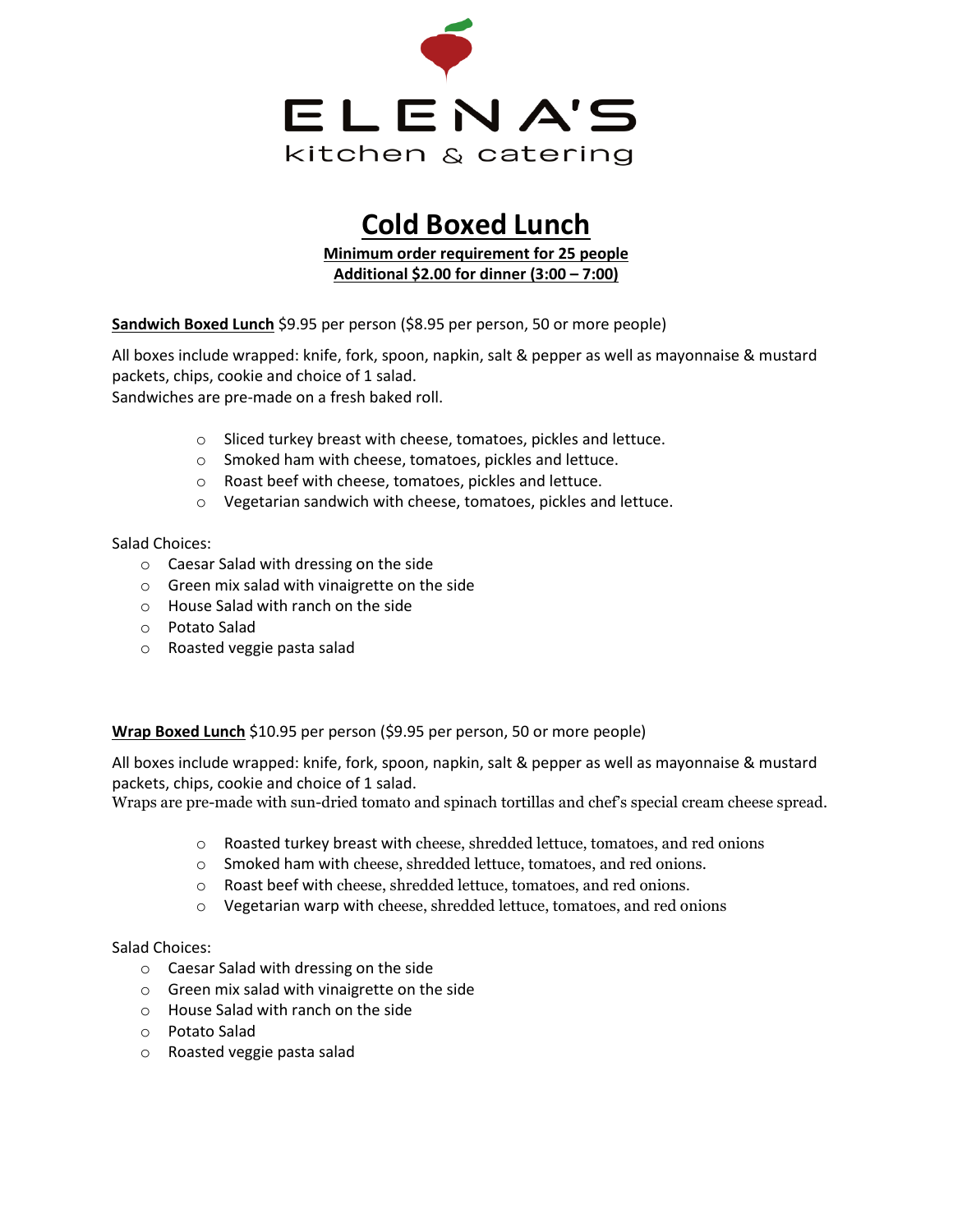

# **Cold Boxed Lunch**

**Minimum order requirement for 25 people Additional \$2.00 for dinner (3:00 – 7:00)**

**Sandwich Boxed Lunch** \$9.95 per person (\$8.95 per person, 50 or more people)

All boxes include wrapped: knife, fork, spoon, napkin, salt & pepper as well as mayonnaise & mustard packets, chips, cookie and choice of 1 salad.

Sandwiches are pre-made on a fresh baked roll.

- o Sliced turkey breast with cheese, tomatoes, pickles and lettuce.
- o Smoked ham with cheese, tomatoes, pickles and lettuce.
- o Roast beef with cheese, tomatoes, pickles and lettuce.
- o Vegetarian sandwich with cheese, tomatoes, pickles and lettuce.

Salad Choices:

- o Caesar Salad with dressing on the side
- o Green mix salad with vinaigrette on the side
- o House Salad with ranch on the side
- o Potato Salad
- o Roasted veggie pasta salad

**Wrap Boxed Lunch** \$10.95 per person (\$9.95 per person, 50 or more people)

All boxes include wrapped: knife, fork, spoon, napkin, salt & pepper as well as mayonnaise & mustard packets, chips, cookie and choice of 1 salad.

Wraps are pre-made with sun-dried tomato and spinach tortillas and chef's special cream cheese spread.

- o Roasted turkey breast with cheese, shredded lettuce, tomatoes, and red onions
- o Smoked ham with cheese, shredded lettuce, tomatoes, and red onions.
- o Roast beef with cheese, shredded lettuce, tomatoes, and red onions.
- o Vegetarian warp with cheese, shredded lettuce, tomatoes, and red onions

#### Salad Choices:

- o Caesar Salad with dressing on the side
- o Green mix salad with vinaigrette on the side
- o House Salad with ranch on the side
- o Potato Salad
- o Roasted veggie pasta salad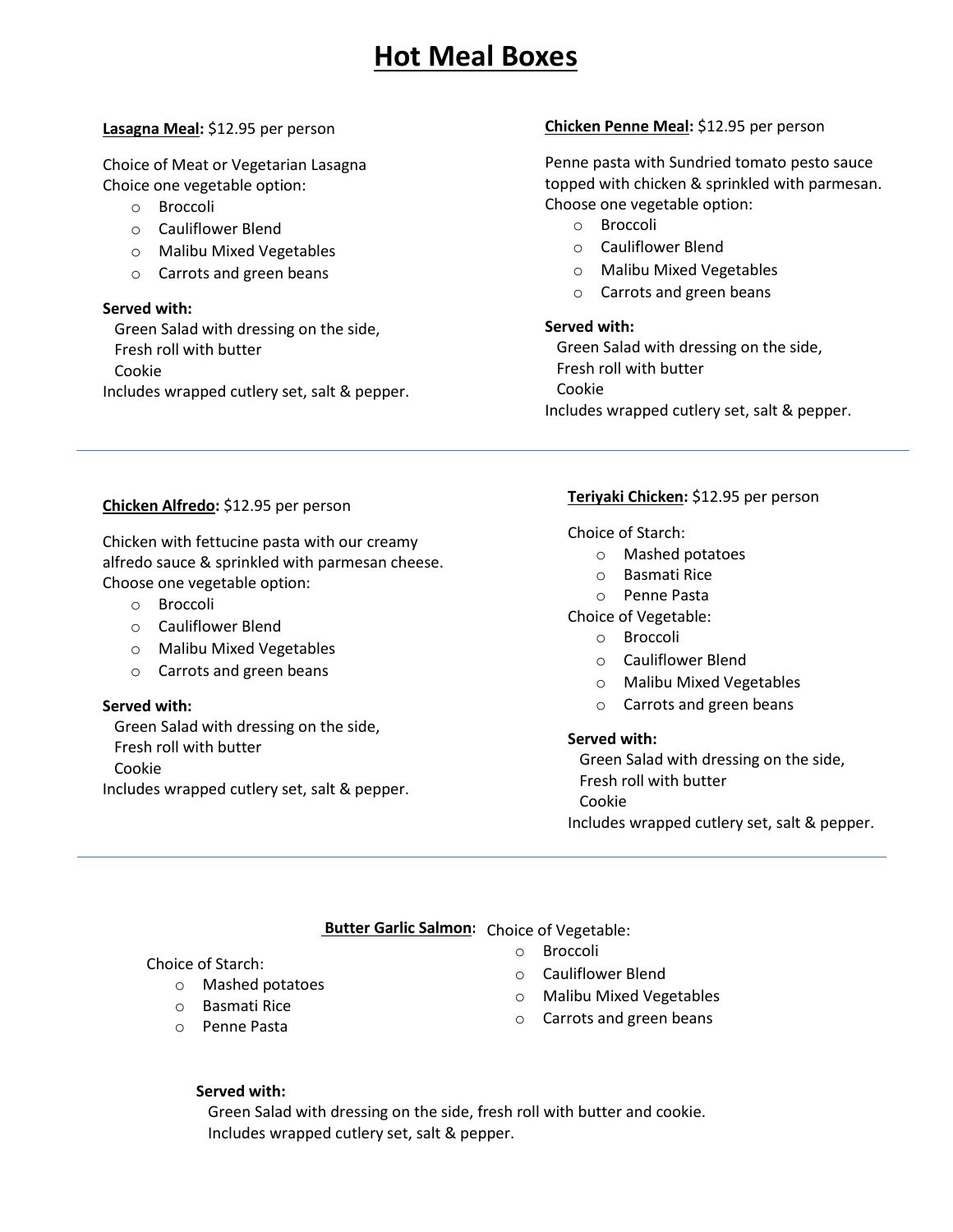# **Hot Meal Boxes**

#### **Lasagna Meal:** \$12.95 per person

Choice of Meat or Vegetarian Lasagna Choice one vegetable option:

- o Broccoli
- o Cauliflower Blend
- o Malibu Mixed Vegetables
- o Carrots and green beans

#### **Served with:**

 Green Salad with dressing on the side, Fresh roll with butter Cookie Includes wrapped cutlery set, salt & pepper.

## **Chicken Penne Meal:** \$12.95 per person

Penne pasta with Sundried tomato pesto sauce topped with chicken & sprinkled with parmesan. Choose one vegetable option:

- o Broccoli
- o Cauliflower Blend
- o Malibu Mixed Vegetables
- o Carrots and green beans

#### **Served with:**

 Green Salad with dressing on the side, Fresh roll with butter Cookie Includes wrapped cutlery set, salt & pepper.

## **Chicken Alfredo:** \$12.95 per person

Chicken with fettucine pasta with our creamy alfredo sauce & sprinkled with parmesan cheese. Choose one vegetable option:

- o Broccoli
- o Cauliflower Blend
- o Malibu Mixed Vegetables
- o Carrots and green beans

#### **Served with:**

 Green Salad with dressing on the side, Fresh roll with butter Cookie Includes wrapped cutlery set, salt & pepper.

#### **Teriyaki Chicken:** \$12.95 per person

Choice of Starch:

- o Mashed potatoes
- o Basmati Rice
- o Penne Pasta

Choice of Vegetable:

- o Broccoli
- o Cauliflower Blend
- o Malibu Mixed Vegetables
- o Carrots and green beans

#### **Served with:**

 Green Salad with dressing on the side, Fresh roll with butter Cookie Includes wrapped cutlery set, salt & pepper.

# **Butter Garlic Salmon:** Choice of Vegetable:

Choice of Starch:

- o Mashed potatoes
- o Basmati Rice
- o Penne Pasta
- o Broccoli
- o Cauliflower Blend
- o Malibu Mixed Vegetables
- o Carrots and green beans

#### **Served with:**

 Green Salad with dressing on the side, fresh roll with butter and cookie. Includes wrapped cutlery set, salt & pepper.